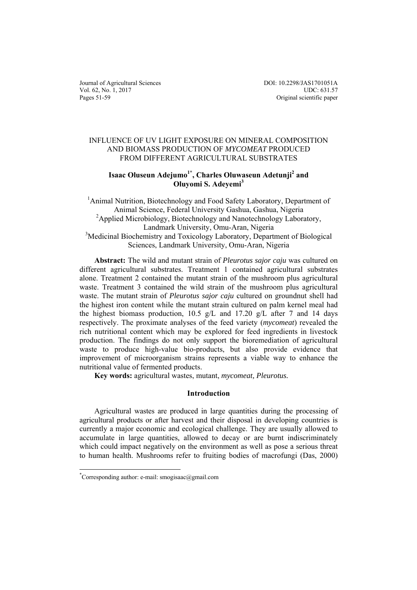Journal of Agricultural Sciences Vol. 62, No. 1, 2017 Pages 51-59

DOI: 10.2298/JAS1701051A UDC: 631.57 Original scientific paper

## INFLUENCE OF UV LIGHT EXPOSURE ON MINERAL COMPOSITION AND BIOMASS PRODUCTION OF *MYCOMEAT* PRODUCED FROM DIFFERENT AGRICULTURAL SUBSTRATES

# Isaac Oluseun Adejumo<sup>1\*</sup>, Charles Oluwaseun Adetunji<sup>2</sup> and **Oluyomi S. Adeyemi3**

<sup>1</sup>Animal Nutrition, Biotechnology and Food Safety Laboratory, Department of Animal Science, Federal University Gashua, Gashua, Nigeria <sup>2</sup>Applied Microbiology, Biotechnology and Nanotechnology Laboratory, Landmark University, Omu-Aran, Nigeria <sup>3</sup>Medicinal Biochemistry and Toxicology Laboratory, Department of Biological Sciences, Landmark University, Omu-Aran, Nigeria

**Abstract:** The wild and mutant strain of *Pleurotus sajor caju* was cultured on different agricultural substrates. Treatment 1 contained agricultural substrates alone. Treatment 2 contained the mutant strain of the mushroom plus agricultural waste. Treatment 3 contained the wild strain of the mushroom plus agricultural waste. The mutant strain of *Pleurotus sajor caju* cultured on groundnut shell had the highest iron content while the mutant strain cultured on palm kernel meal had the highest biomass production, 10.5 g/L and 17.20 g/L after 7 and 14 days respectively. The proximate analyses of the feed variety (*mycomeat*) revealed the rich nutritional content which may be explored for feed ingredients in livestock production. The findings do not only support the bioremediation of agricultural waste to produce high-value bio-products, but also provide evidence that improvement of microorganism strains represents a viable way to enhance the nutritional value of fermented products.

**Key words:** agricultural wastes, mutant, *mycomeat, Pleurotus.*

### **Introduction**

Agricultural wastes are produced in large quantities during the processing of agricultural products or after harvest and their disposal in developing countries is currently a major economic and ecological challenge. They are usually allowed to accumulate in large quantities, allowed to decay or are burnt indiscriminately which could impact negatively on the environment as well as pose a serious threat to human health. Mushrooms refer to fruiting bodies of macrofungi (Das, 2000)

l

<sup>\*</sup> Corresponding author: e-mail: smogisaac@gmail.com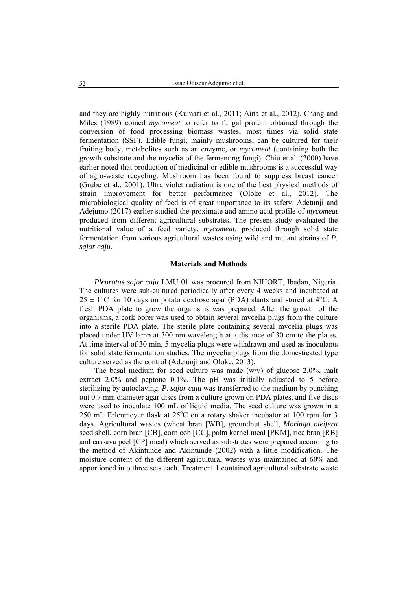and they are highly nutritious (Kumari et al*.*, 2011; Aina et al*.*, 2012). Chang and Miles (1989) coined *mycomeat* to refer to fungal protein obtained through the conversion of food processing biomass wastes; most times via solid state fermentation (SSF). Edible fungi, mainly mushrooms, can be cultured for their fruiting body, metabolites such as an enzyme, or *mycomeat* (containing both the growth substrate and the mycelia of the fermenting fungi). Chiu et al. (2000) have earlier noted that production of medicinal or edible mushrooms is a successful way of agro-waste recycling. Mushroom has been found to suppress breast cancer (Grube et al*.,* 2001). Ultra violet radiation is one of the best physical methods of strain improvement for better performance (Oloke et al., 2012). The microbiological quality of feed is of great importance to its safety. Adetunji and Adejumo (2017) earlier studied the proximate and amino acid profile of *mycomeat* produced from different agricultural substrates. The present study evaluated the nutritional value of a feed variety, *mycomeat*, produced through solid state fermentation from various agricultural wastes using wild and mutant strains of *P. sajor caju*.

### **Materials and Methods**

*Pleurotus sajor caju* LMU 01 was procured from NIHORT, Ibadan, Nigeria. The cultures were sub-cultured periodically after every 4 weeks and incubated at  $25 \pm 1$ °C for 10 days on potato dextrose agar (PDA) slants and stored at 4°C. A fresh PDA plate to grow the organisms was prepared. After the growth of the organisms, a cork borer was used to obtain several mycelia plugs from the culture into a sterile PDA plate. The sterile plate containing several mycelia plugs was placed under UV lamp at 300 nm wavelength at a distance of 30 cm to the plates. At time interval of 30 min, 5 mycelia plugs were withdrawn and used as inoculants for solid state fermentation studies. The mycelia plugs from the domesticated type culture served as the control (Adetunji and Oloke, 2013).

The basal medium for seed culture was made  $(w/v)$  of glucose 2.0%, malt extract 2.0% and peptone 0.1%. The pH was initially adjusted to 5 before sterilizing by autoclaving. *P. sajor caju* was transferred to the medium by punching out 0.7 mm diameter agar discs from a culture grown on PDA plates, and five discs were used to inoculate 100 mL of liquid media. The seed culture was grown in a 250 mL Erlenmeyer flask at 25°C on a rotary shaker incubator at 100 rpm for 3 days. Agricultural wastes (wheat bran [WB], groundnut shell, *Moringa oleifera*  seed shell, corn bran [CB], corn cob [CC], palm kernel meal [PKM], rice bran [RB] and cassava peel [CP] meal) which served as substrates were prepared according to the method of Akintunde and Akintunde (2002) with a little modification. The moisture content of the different agricultural wastes was maintained at 60% and apportioned into three sets each. Treatment 1 contained agricultural substrate waste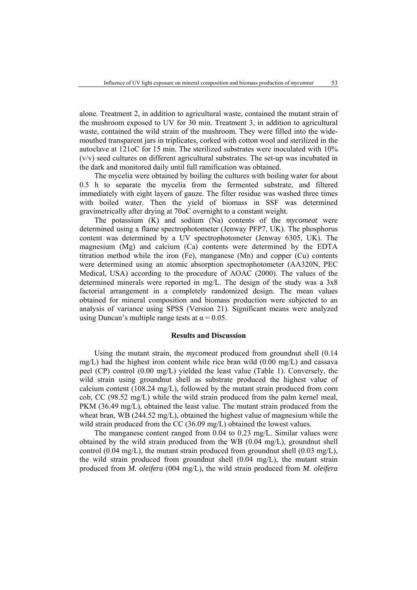alone. Treatment 2, in addition to agricultural waste, contained the mutant strain of the mushroom exposed to UV for 30 min. Treatment 3, in addition to agricultural waste, contained the wild strain of the mushroom. They were filled into the widemouthed transparent jars in triplicates, corked with cotton wool and sterilized in the autoclave at 121oC for 15 min. The sterilized substrates were inoculated with 10% (v/v) seed cultures on different agricultural substrates. The set-up was incubated in the dark and monitored daily until full ramification was obtained.

The mycelia were obtained by boiling the cultures with boiling water for about 0.5 h to separate the mycelia from the fermented substrate, and filtered immediately with eight layers of gauze. The filter residue was washed three times with boiled water. Then the yield of biomass in SSF was determined gravimetrically after drying at 70oC overnight to a constant weight.

The potassium (K) and sodium (Na) contents of the *mycomeat* were determined using a flame spectrophotometer (Jenway PFP7, UK). The phosphorus content was determined by a UV spectrophotometer (Jenway 6305, UK). The magnesium (Mg) and calcium (Ca) contents were determined by the EDTA titration method while the iron (Fe), manganese (Mn) and copper (Cu) contents were determined using an atomic absorption spectrophotometer (AA320N, PEC Medical, USA) according to the procedure of AOAC (2000). The values of the determined minerals were reported in mg/L. The design of the study was a 3x8 factorial arrangement in a completely randomized design. The mean values obtained for mineral composition and biomass production were subjected to an analysis of variance using SPSS (Version 21). Significant means were analyzed using Duncan's multiple range tests at  $\alpha = 0.05$ .

#### **Results and Discussion**

Using the mutant strain, the *mycomeat* produced from groundnut shell (0.14 mg/L) had the highest iron content while rice bran wild (0.00 mg/L) and cassava peel (CP) control (0.00 mg/L) yielded the least value (Table 1). Conversely, the wild strain using groundnut shell as substrate produced the highest value of calcium content (108.24 mg/L), followed by the mutant strain produced from corn cob, CC (98.52 mg/L) while the wild strain produced from the palm kernel meal, PKM (36.49 mg/L), obtained the least value. The mutant strain produced from the wheat bran, WB (244.52 mg/L), obtained the highest value of magnesium while the wild strain produced from the CC (36.09 mg/L) obtained the lowest values.

The manganese content ranged from 0.04 to 0.23 mg/L. Similar values were obtained by the wild strain produced from the WB (0.04 mg/L), groundnut shell control (0.04 mg/L), the mutant strain produced from groundnut shell (0.03 mg/L), the wild strain produced from groundnut shell (0.04 mg/L), the mutant strain produced from *M. oleifera* (004 mg/L), the wild strain produced from *M. oleifera*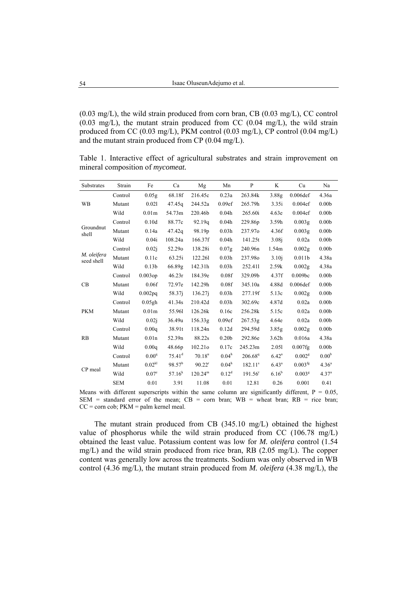$(0.03 \text{ mg/L})$ , the wild strain produced from corn bran, CB  $(0.03 \text{ mg/L})$ , CC control  $(0.03 \text{ mg/L})$ , the mutant strain produced from CC  $(0.04 \text{ mg/L})$ , the wild strain produced from CC (0.03 mg/L), PKM control (0.03 mg/L), CP control (0.04 mg/L) and the mutant strain produced from CP (0.04 mg/L).

Table 1. Interactive effect of agricultural substrates and strain improvement on mineral composition of *mycomeat.* 

| Substrates                | Strain     | Fe                 | Ca              | Mg         | Mn                | $\mathbf{P}$        | K                 | Cu                    | Na                |
|---------------------------|------------|--------------------|-----------------|------------|-------------------|---------------------|-------------------|-----------------------|-------------------|
| <b>WB</b>                 | Control    | 0.05g              | 68.18f          | 216.45c    | 0.23a             | 263.84k             | 3.88g             | 0.006def              | 4.36a             |
|                           | Mutant     | 0.021              | 47.45q          | 244.52a    | 0.09ef            | 265.79h             | 3.35i             | 0.004ef               | 0.00 <sub>b</sub> |
|                           | Wild       | 0.01 <sub>m</sub>  | 54.73m          | 220.46b    | 0.04h             | 265.60i             | 4.63e             | 0.004ef               | 0.00 <sub>b</sub> |
| Groundnut<br>shell        | Control    | 0.10d              | 88.77c          | 92.19q     | 0.04h             | 229.86p             | 3.59h             | 0.003g                | 0.00 <sub>b</sub> |
|                           | Mutant     | 0.14a              | 47.42q          | 98.19p     | 0.03 <sub>h</sub> | 237.970             | 4.36f             | 0.003g                | 0.00 <sub>b</sub> |
|                           | Wild       | 0.04i              | 108.24a         | 166.37f    | 0.04h             | 141.25t             | 3.08 <sub>i</sub> | 0.02a                 | 0.00 <sub>b</sub> |
| M. oleifera<br>seed shell | Control    | 0.02i              | 52.290          | 138.28i    | 0.07g             | 240.96n             | 1.54m             | 0.002g                | 0.00 <sub>b</sub> |
|                           | Mutant     | 0.11c              | 63.25i          | 122.261    | 0.03h             | 237.980             | 3.10 <sub>i</sub> | 0.011 <sub>b</sub>    | 4.38a             |
|                           | Wild       | 0.13 <sub>b</sub>  | 66.89g          | 142.31h    | 0.03h             | 252.411             | 2.59k             | 0.002g                | 4.38a             |
| CB                        | Control    | $0.003$ op         | 46.23r          | 184.39e    | 0.08f             | 329.09b             | 4.37f             | 0.009bc               | 0.00 <sub>b</sub> |
|                           | Mutant     | 0.06f              | 72.97e          | 142.29h    | 0.08f             | 345.10a             | 4.88d             | $0.006$ def           | 0.00 <sub>b</sub> |
|                           | Wild       | 0.002pq            | 58.37j          | 136.27j    | 0.03h             | 277.19f             | 5.13c             | 0.002 <sub>g</sub>    | 0.00 <sub>b</sub> |
| <b>PKM</b>                | Control    | $0.05$ gh          | 41.34s          | 210.42d    | 0.03h             | 302.69c             | 4.87d             | 0.02a                 | 0.00 <sub>b</sub> |
|                           | Mutant     | 0.01m              | 55.961          | 126.26k    | 0.16c             | 256.28k             | 5.15c             | 0.02a                 | 0.00 <sub>b</sub> |
|                           | Wild       | 0.02i              | 36.49u          | 156.33g    | 0.09ef            | 267.53g             | 4.64e             | 0.02a                 | 0.00 <sub>b</sub> |
| RB                        | Control    | 0.00q              | 38.91t          | 118.24n    | 0.12d             | 294.59d             | 3.85 <sub>g</sub> | 0.002 <sub>g</sub>    | 0.00 <sub>b</sub> |
|                           | Mutant     | 0.01n              | 52.39n          | 88.22s     | 0.20 <sub>b</sub> | 292.86e             | 3.62h             | 0.016a                | 4.38a             |
|                           | Wild       | 0.00q              | 48.66p          | 102.21o    | 0.17c             | 245.23m             | 2.051             | $0.007$ fg            | 0.00 <sub>b</sub> |
| CP meal                   | Control    | 0.00 <sup>q</sup>  | $75.41^d$       | $70.18^u$  | $0.04^{\rm h}$    | 206.68 <sup>q</sup> | $6.42^{\rm a}$    | $0.002^8$             | 0.00 <sup>b</sup> |
|                           | Mutant     | 0.02 <sup>kl</sup> | $98.57^{\rm b}$ | $90.22^r$  | 0.04 <sup>h</sup> | 182.11 <sup>s</sup> | $6.43^{\rm a}$    | $0.003$ <sup>fg</sup> | 4.36 <sup>a</sup> |
|                           | Wild       | 0.07 <sup>e</sup>  | $57.16^{k}$     | $120.24^m$ | $0.12^d$          | 191.56 <sup>r</sup> | $6.16^{b}$        | $0.003^{8}$           | 4.37 <sup>a</sup> |
|                           | <b>SEM</b> | 0.01               | 3.91            | 11.08      | 0.01              | 12.81               | 0.26              | 0.001                 | 0.41              |

Means with different superscripts within the same column are significantly different,  $P = 0.05$ , SEM = standard error of the mean;  $CB = \text{corn}$  bran;  $WB = \text{wheel}$  bran;  $RB = \text{rice}$  bran;  $CC = \text{corn cob}$ ;  $PKM = \text{palm}$  kernel meal.

The mutant strain produced from CB (345.10 mg/L) obtained the highest value of phosphorus while the wild strain produced from CC (106.78 mg/L) obtained the least value. Potassium content was low for *M. oleifera* control (1.54 mg/L) and the wild strain produced from rice bran, RB (2.05 mg/L). The copper content was generally low across the treatments. Sodium was only observed in WB control (4.36 mg/L), the mutant strain produced from *M. oleifera* (4.38 mg/L), the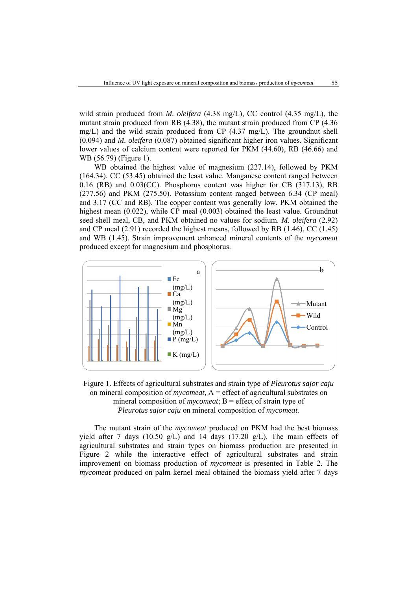wild strain produced from *M. oleifera* (4.38 mg/L), CC control (4.35 mg/L), the mutant strain produced from RB (4.38), the mutant strain produced from CP (4.36 mg/L) and the wild strain produced from CP  $(4.37 \text{ mg/L})$ . The groundnut shell (0.094) and *M. oleifera* (0.087) obtained significant higher iron values. Significant lower values of calcium content were reported for PKM (44.60), RB (46.66) and WB (56.79) (Figure 1).

WB obtained the highest value of magnesium (227.14), followed by PKM (164.34). CC (53.45) obtained the least value. Manganese content ranged between 0.16 (RB) and 0.03(CC). Phosphorus content was higher for CB (317.13), RB (277.56) and PKM (275.50). Potassium content ranged between 6.34 (CP meal) and 3.17 (CC and RB). The copper content was generally low. PKM obtained the highest mean (0.022), while CP meal (0.003) obtained the least value. Groundnut seed shell meal, CB, and PKM obtained no values for sodium. *M. oleifera* (2.92) and CP meal (2.91) recorded the highest means, followed by RB (1.46), CC (1.45) and WB (1.45). Strain improvement enhanced mineral contents of the *mycomeat* produced except for magnesium and phosphorus.



Figure 1. Effects of agricultural substrates and strain type of *Pleurotus sajor caju*  on mineral composition of *mycomeat*, A = effect of agricultural substrates on mineral composition of *mycomeat*; B = effect of strain type of *Pleurotus sajor caju* on mineral composition of *mycomeat.* 

The mutant strain of the *mycomeat* produced on PKM had the best biomass yield after 7 days (10.50  $g/L$ ) and 14 days (17.20  $g/L$ ). The main effects of agricultural substrates and strain types on biomass production are presented in Figure 2 while the interactive effect of agricultural substrates and strain improvement on biomass production of *mycomeat* is presented in Table 2. The *mycomeat* produced on palm kernel meal obtained the biomass yield after 7 days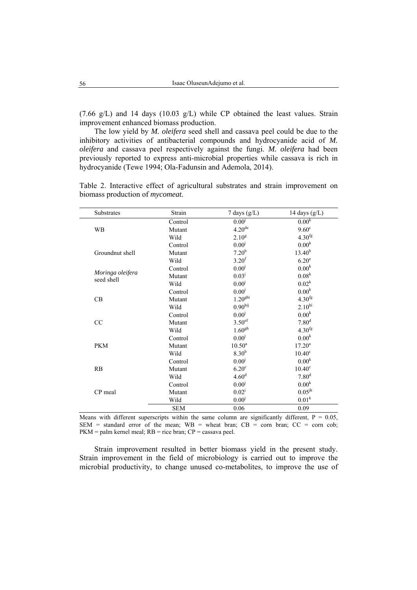(7.66 g/L) and 14 days (10.03 g/L) while CP obtained the least values. Strain improvement enhanced biomass production.

The low yield by *M. oleifera* seed shell and cassava peel could be due to the inhibitory activities of antibacterial compounds and hydrocyanide acid of *M. oleifera* and cassava peel respectively against the fungi. *M. oleifera* had been previously reported to express anti-microbial properties while cassava is rich in hydrocyanide (Tewe 1994; Ola-Fadunsin and Ademola, 2014).

| <b>Substrates</b>              | Strain     | 7 days $(g/L)$       | 14 days $(g/L)$    |
|--------------------------------|------------|----------------------|--------------------|
|                                | Control    | 0.00 <sup>j</sup>    | 0.00 <sup>k</sup>  |
| <b>WB</b>                      | Mutant     | $4.20$ <sup>de</sup> | $9.60^{\circ}$     |
|                                | Wild       | $2.10^{8}$           | $4.30^{fg}$        |
|                                | Control    | 0.00 <sup>j</sup>    | 0.00 <sup>k</sup>  |
| Groundnut shell                | Mutant     | $7.20^{b}$           | $13.40^{b}$        |
|                                | Wild       | 3.20 <sup>f</sup>    | 6.20 <sup>e</sup>  |
|                                | Control    | $0.00^{j}$           | 0.00 <sup>k</sup>  |
| Moringa oleifera<br>seed shell | Mutant     | $0.03^{j}$           | 0.08 <sup>k</sup>  |
|                                | Wild       | 0.00 <sup>j</sup>    | $0.02^k$           |
|                                | Control    | 0.00 <sup>j</sup>    | 0.00 <sup>k</sup>  |
| CB                             | Mutant     | 1.20 <sup>ghi</sup>  | $4.30^{fg}$        |
|                                | Wild       | 0.90 <sup>hij</sup>  | $2.10^{hi}$        |
|                                | Control    | 0.00 <sup>j</sup>    | 0.00 <sup>k</sup>  |
| CC                             | Mutant     | 3.50 <sup>ef</sup>   | 7.80 <sup>d</sup>  |
|                                | Wild       | 1.60 <sup>gh</sup>   | $4.30^{fg}$        |
|                                | Control    | 0.00 <sup>j</sup>    | 0.00 <sup>k</sup>  |
| <b>PKM</b>                     | Mutant     | $10.50^a$            | $17.20^a$          |
|                                | Wild       | 8.30 <sup>b</sup>    | $10.40^{\circ}$    |
|                                | Control    | $0.00^{j}$           | 0.00 <sup>k</sup>  |
| RB                             | Mutant     | 6.20 <sup>c</sup>    | 10.40 <sup>c</sup> |
|                                | Wild       | 4.60 <sup>d</sup>    | 7.80 <sup>d</sup>  |
|                                | Control    | 0.00 <sup>j</sup>    | 0.00 <sup>k</sup>  |
| CP meal                        | Mutant     | $0.02^{j}$           | $0.05^{jk}$        |
|                                | Wild       | $0.00^{j}$           | 0.01 <sup>k</sup>  |
|                                | <b>SEM</b> | 0.06                 | 0.09               |

Table 2. Interactive effect of agricultural substrates and strain improvement on biomass production of *mycomeat.*

Means with different superscripts within the same column are significantly different,  $P = 0.05$ , SEM = standard error of the mean;  $WB =$  wheat bran;  $CB =$  corn bran;  $CC =$  corn cob;  $PKM =$  palm kernel meal;  $RB =$  rice bran;  $CP =$  cassava peel.

Strain improvement resulted in better biomass yield in the present study. Strain improvement in the field of microbiology is carried out to improve the microbial productivity, to change unused co-metabolites, to improve the use of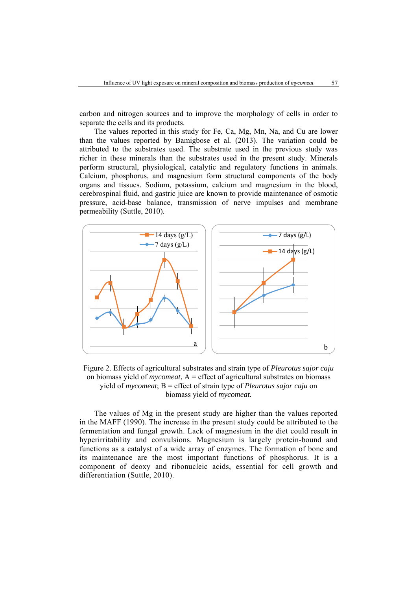carbon and nitrogen sources and to improve the morphology of cells in order to separate the cells and its products.

The values reported in this study for Fe, Ca, Mg, Mn, Na, and Cu are lower than the values reported by Bamigbose et al*.* (2013). The variation could be attributed to the substrates used. The substrate used in the previous study was richer in these minerals than the substrates used in the present study. Minerals perform structural, physiological, catalytic and regulatory functions in animals. Calcium, phosphorus, and magnesium form structural components of the body organs and tissues. Sodium, potassium, calcium and magnesium in the blood, cerebrospinal fluid, and gastric juice are known to provide maintenance of osmotic pressure, acid-base balance, transmission of nerve impulses and membrane permeability (Suttle, 2010).



Figure 2. Effects of agricultural substrates and strain type of *Pleurotus sajor caju*  on biomass yield of *mycomeat*, A = effect of agricultural substrates on biomass yield of *mycomeat*; B = effect of strain type of *Pleurotus sajor caju* on biomass yield of *mycomeat.* 

The values of Mg in the present study are higher than the values reported in the MAFF (1990). The increase in the present study could be attributed to the fermentation and fungal growth. Lack of magnesium in the diet could result in hyperirritability and convulsions. Magnesium is largely protein-bound and functions as a catalyst of a wide array of enzymes. The formation of bone and its maintenance are the most important functions of phosphorus. It is a component of deoxy and ribonucleic acids, essential for cell growth and differentiation (Suttle, 2010).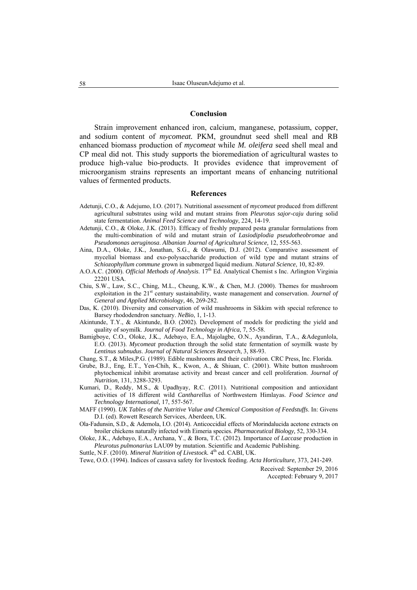#### **Conclusion**

Strain improvement enhanced iron, calcium, manganese, potassium, copper, and sodium content of *mycomeat.* PKM, groundnut seed shell meal and RB enhanced biomass production of *mycomeat* while *M. oleifera* seed shell meal and CP meal did not. This study supports the bioremediation of agricultural wastes to produce high-value bio-products. It provides evidence that improvement of microorganism strains represents an important means of enhancing nutritional values of fermented products.

#### **References**

- Adetunji, C.O., & Adejumo, I.O. (2017). Nutritional assessment of *mycomeat* produced from different agricultural substrates using wild and mutant strains from *Pleurotus sajor-caju* during solid state fermentation. *Animal Feed Science and Technology*, 224, 14-19.
- Adetunji, C.O., & Oloke, J.K. (2013). Efficacy of freshly prepared pesta granular formulations from the multi-combination of wild and mutant strain of *Lasiodiplodia pseudotheobromae* and *Pseudomonas aeruginosa*. *Albanian Journal of Agricultural Science,* 12, 555-563.
- Aina, D.A., Oloke, J.K., Jonathan, S.G., & Olawumi, D.J. (2012). Comparative assessment of mycelial biomass and exo-polysaccharide production of wild type and mutant strains of *Schiozophyllum commune* grown in submerged liquid medium. *Natural Science*, 10, 82-89.
- A.O.A.C. (2000). *Official Methods of Analysis*. 17<sup>th</sup> Ed. Analytical Chemist s Inc. Arlington Virginia 22201 USA.
- Chiu, S.W., Law, S.C., Ching, M.L., Cheung, K.W., & Chen, M.J. (2000). Themes for mushroom exploitation in the 21<sup>st</sup> century sustainability, waste management and conservation. *Journal of General and Applied Microbiology,* 46, 269-282.
- Das, K. (2010). Diversity and conservation of wild mushrooms in Sikkim with special reference to Barsey rhododendron sanctuary. *NeBio*, 1, 1-13.
- Akintunde, T.Y., & Akintunde, B.O. (2002). Development of models for predicting the yield and quality of soymilk. *Journal of Food Technology in Africa*, 7, 55-58.
- Bamigboye, C.O., Oloke, J.K., Adebayo, E.A., Majolagbe, O.N., Ayandiran, T.A., &Adegunlola, E.O. (2013). *Mycomeat* production through the solid state fermentation of soymilk waste by *Lentinus subnudus*. *Journal of Natural Sciences Research*, 3, 88-93.
- Chang, S.T., & Miles,P.G. (1989). Edible mushrooms and their cultivation. CRC Press, Inc. Florida.
- Grube, B.J., Eng, E.T., Yen-Chih, K., Kwon, A., & Shiuan, C. (2001). White button mushroom phytochemical inhibit aromatase activity and breast cancer and cell proliferation. *Journal of Nutrition*, 131, 3288-3293.
- Kumari, D., Reddy, M.S., & Upadhyay, R.C. (2011). Nutritional composition and antioxidant activities of 18 different wild *Cantharellus* of Northwestern Himlayas. *Food Science and Technology International,* 17, 557-567.
- MAFF (1990). *UK Tables of the Nutritive Value and Chemical Composition of Feedstuffs*. In: Givens D.I. (ed). Rowett Research Services, Aberdeen, UK.
- Ola-Fadunsin, S.D., & Ademola, I.O. (2014). Anticoccidial effects of Morindalucida acetone extracts on broiler chickens naturally infected with Eimeria species. *Pharmaceutical Biology,* 52, 330-334.
- Oloke, J.K., Adebayo, E.A., Archana, Y., & Bora, T.C. (2012). Importance of *Laccase* production in *Pleurotus pulmonarius* LAU09 by mutation. Scientific and Academic Publishing.
- Suttle, N.F. (2010). *Mineral Nutrition of Livestock*. 4<sup>th</sup> ed. CABI, UK.
- Tewe, O.O. (1994). Indices of cassava safety for livestock feeding. *Acta Horticulture*, 373, 241-249.

Received: September 29, 2016 Accepted: February 9, 2017